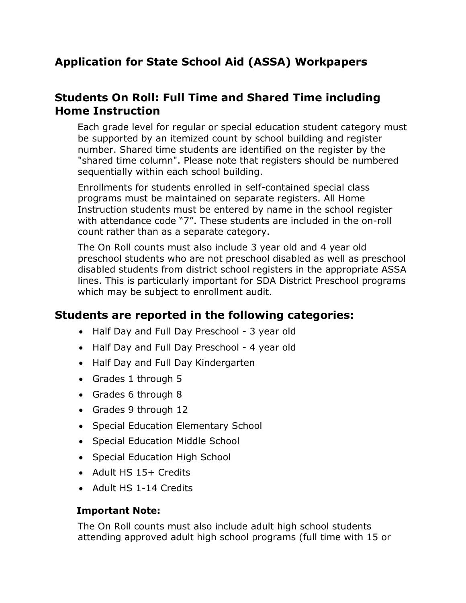# **Application for State School Aid (ASSA) Workpapers**

# **Students On Roll: Full Time and Shared Time including Home Instruction**

Each grade level for regular or special education student category must be supported by an itemized count by school building and register number. Shared time students are identified on the register by the "shared time column". Please note that registers should be numbered sequentially within each school building.

Enrollments for students enrolled in self-contained special class programs must be maintained on separate registers. All Home Instruction students must be entered by name in the school register with attendance code "7". These students are included in the on-roll count rather than as a separate category.

The On Roll counts must also include 3 year old and 4 year old preschool students who are not preschool disabled as well as preschool disabled students from district school registers in the appropriate ASSA lines. This is particularly important for SDA District Preschool programs which may be subject to enrollment audit.

## **Students are reported in the following categories:**

- Half Day and Full Day Preschool 3 year old
- Half Day and Full Day Preschool 4 year old
- Half Day and Full Day Kindergarten
- Grades 1 through 5
- Grades 6 through 8
- Grades 9 through 12
- Special Education Elementary School
- Special Education Middle School
- Special Education High School
- Adult HS 15+ Credits
- Adult HS 1-14 Credits

#### **Important Note:**

The On Roll counts must also include adult high school students attending approved adult high school programs (full time with 15 or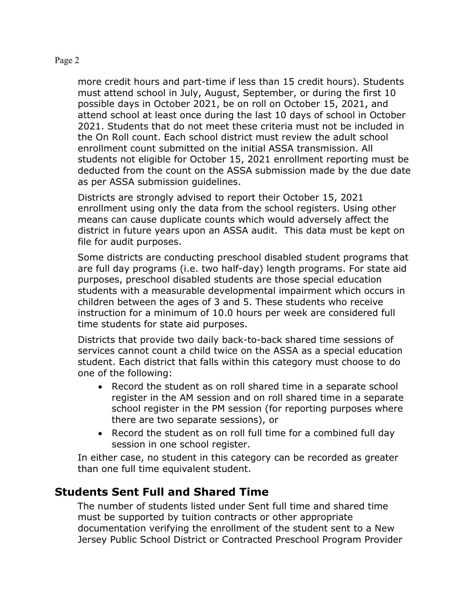more credit hours and part-time if less than 15 credit hours). Students must attend school in July, August, September, or during the first 10 possible days in October 2021, be on roll on October 15, 2021, and attend school at least once during the last 10 days of school in October 2021. Students that do not meet these criteria must not be included in the On Roll count. Each school district must review the adult school enrollment count submitted on the initial ASSA transmission. All students not eligible for October 15, 2021 enrollment reporting must be deducted from the count on the ASSA submission made by the due date as per ASSA submission guidelines.

Districts are strongly advised to report their October 15, 2021 enrollment using only the data from the school registers. Using other means can cause duplicate counts which would adversely affect the district in future years upon an ASSA audit. This data must be kept on file for audit purposes.

Some districts are conducting preschool disabled student programs that are full day programs (i.e. two half-day) length programs. For state aid purposes, preschool disabled students are those special education students with a measurable developmental impairment which occurs in children between the ages of 3 and 5. These students who receive instruction for a minimum of 10.0 hours per week are considered full time students for state aid purposes.

Districts that provide two daily back-to-back shared time sessions of services cannot count a child twice on the ASSA as a special education student. Each district that falls within this category must choose to do one of the following:

- Record the student as on roll shared time in a separate school register in the AM session and on roll shared time in a separate school register in the PM session (for reporting purposes where there are two separate sessions), or
- Record the student as on roll full time for a combined full day session in one school register.

In either case, no student in this category can be recorded as greater than one full time equivalent student.

### **Students Sent Full and Shared Time**

The number of students listed under Sent full time and shared time must be supported by tuition contracts or other appropriate documentation verifying the enrollment of the student sent to a New Jersey Public School District or Contracted Preschool Program Provider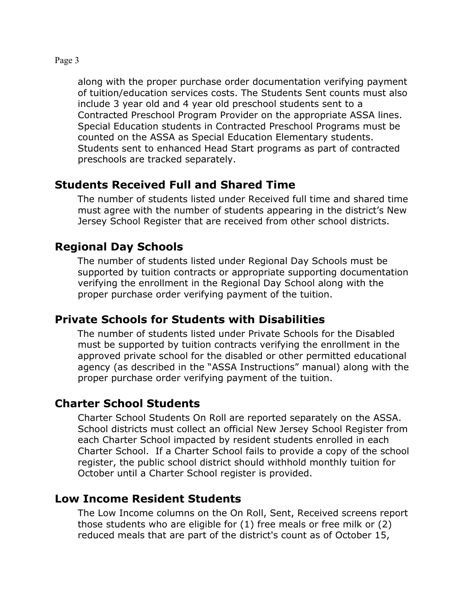along with the proper purchase order documentation verifying payment of tuition/education services costs. The Students Sent counts must also include 3 year old and 4 year old preschool students sent to a Contracted Preschool Program Provider on the appropriate ASSA lines. Special Education students in Contracted Preschool Programs must be counted on the ASSA as Special Education Elementary students. Students sent to enhanced Head Start programs as part of contracted preschools are tracked separately.

## **Students Received Full and Shared Time**

The number of students listed under Received full time and shared time must agree with the number of students appearing in the district's New Jersey School Register that are received from other school districts.

## **Regional Day Schools**

The number of students listed under Regional Day Schools must be supported by tuition contracts or appropriate supporting documentation verifying the enrollment in the Regional Day School along with the proper purchase order verifying payment of the tuition.

## **Private Schools for Students with Disabilities**

The number of students listed under Private Schools for the Disabled must be supported by tuition contracts verifying the enrollment in the approved private school for the disabled or other permitted educational agency (as described in the "ASSA Instructions" manual) along with the proper purchase order verifying payment of the tuition.

## **Charter School Students**

Charter School Students On Roll are reported separately on the ASSA. School districts must collect an official New Jersey School Register from each Charter School impacted by resident students enrolled in each Charter School. If a Charter School fails to provide a copy of the school register, the public school district should withhold monthly tuition for October until a Charter School register is provided.

## **Low Income Resident Students**

The Low Income columns on the On Roll, Sent, Received screens report those students who are eligible for (1) free meals or free milk or (2) reduced meals that are part of the district's count as of October 15,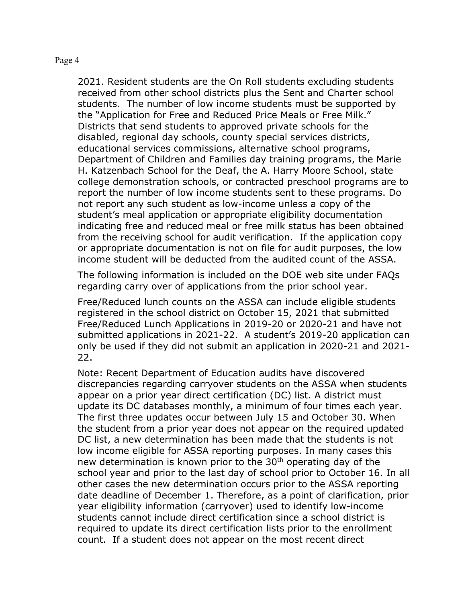2021. Resident students are the On Roll students excluding students received from other school districts plus the Sent and Charter school students. The number of low income students must be supported by the "Application for Free and Reduced Price Meals or Free Milk." Districts that send students to approved private schools for the disabled, regional day schools, county special services districts, educational services commissions, alternative school programs, Department of Children and Families day training programs, the Marie H. Katzenbach School for the Deaf, the A. Harry Moore School, state college demonstration schools, or contracted preschool programs are to report the number of low income students sent to these programs. Do not report any such student as low-income unless a copy of the student's meal application or appropriate eligibility documentation indicating free and reduced meal or free milk status has been obtained from the receiving school for audit verification. If the application copy or appropriate documentation is not on file for audit purposes, the low income student will be deducted from the audited count of the ASSA.

The following information is included on the DOE web site under FAQs regarding carry over of applications from the prior school year.

Free/Reduced lunch counts on the ASSA can include eligible students registered in the school district on October 15, 2021 that submitted Free/Reduced Lunch Applications in 2019-20 or 2020-21 and have not submitted applications in 2021-22. A student's 2019-20 application can only be used if they did not submit an application in 2020-21 and 2021- 22.

Note: Recent Department of Education audits have discovered discrepancies regarding carryover students on the ASSA when students appear on a prior year direct certification (DC) list. A district must update its DC databases monthly, a minimum of four times each year. The first three updates occur between July 15 and October 30. When the student from a prior year does not appear on the required updated DC list, a new determination has been made that the students is not low income eligible for ASSA reporting purposes. In many cases this new determination is known prior to the 30<sup>th</sup> operating day of the school year and prior to the last day of school prior to October 16. In all other cases the new determination occurs prior to the ASSA reporting date deadline of December 1. Therefore, as a point of clarification, prior year eligibility information (carryover) used to identify low-income students cannot include direct certification since a school district is required to update its direct certification lists prior to the enrollment count. If a student does not appear on the most recent direct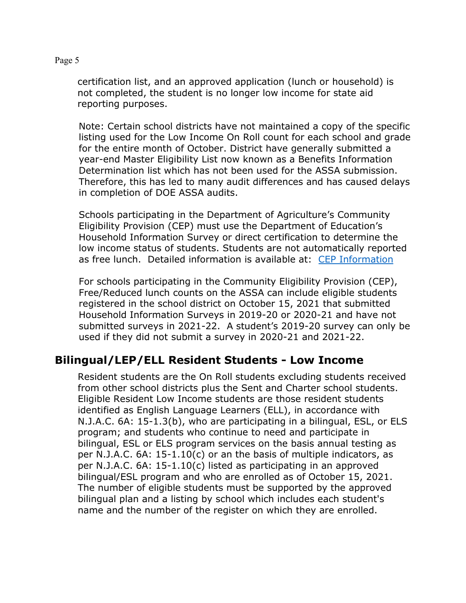certification list, and an approved application (lunch or household) is not completed, the student is no longer low income for state aid reporting purposes.

Note: Certain school districts have not maintained a copy of the specific listing used for the Low Income On Roll count for each school and grade for the entire month of October. District have generally submitted a year-end Master Eligibility List now known as a Benefits Information Determination list which has not been used for the ASSA submission. Therefore, this has led to many audit differences and has caused delays in completion of DOE ASSA audits.

Schools participating in the Department of Agriculture's Community Eligibility Provision (CEP) must use the Department of Education's Household Information Survey or direct certification to determine the low income status of students. Students are not automatically reported as free lunch. Detailed information is available at: [CEP Information](http://www.state.nj.us/education/finance/cep/)

For schools participating in the Community Eligibility Provision (CEP), Free/Reduced lunch counts on the ASSA can include eligible students registered in the school district on October 15, 2021 that submitted Household Information Surveys in 2019-20 or 2020-21 and have not submitted surveys in 2021-22. A student's 2019-20 survey can only be used if they did not submit a survey in 2020-21 and 2021-22.

## **Bilingual/LEP/ELL Resident Students - Low Income**

Resident students are the On Roll students excluding students received from other school districts plus the Sent and Charter school students. Eligible Resident Low Income students are those resident students identified as English Language Learners (ELL), in accordance with N.J.A.C. 6A: 15-1.3(b), who are participating in a bilingual, ESL, or ELS program; and students who continue to need and participate in bilingual, ESL or ELS program services on the basis annual testing as per N.J.A.C. 6A: 15-1.10(c) or an the basis of multiple indicators, as per N.J.A.C. 6A: 15-1.10(c) listed as participating in an approved bilingual/ESL program and who are enrolled as of October 15, 2021. The number of eligible students must be supported by the approved bilingual plan and a listing by school which includes each student's name and the number of the register on which they are enrolled.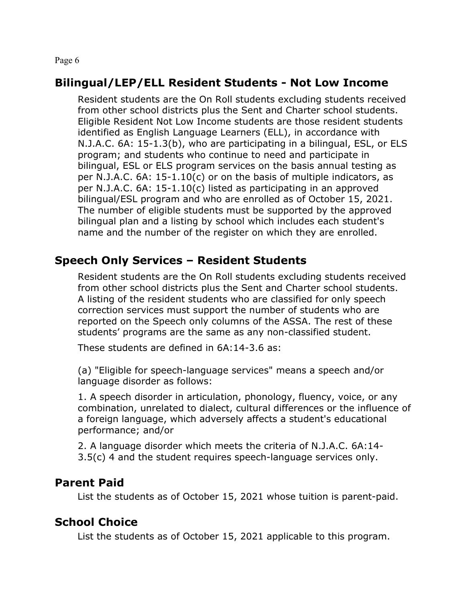### **Bilingual/LEP/ELL Resident Students - Not Low Income**

Resident students are the On Roll students excluding students received from other school districts plus the Sent and Charter school students. Eligible Resident Not Low Income students are those resident students identified as English Language Learners (ELL), in accordance with N.J.A.C. 6A: 15-1.3(b), who are participating in a bilingual, ESL, or ELS program; and students who continue to need and participate in bilingual, ESL or ELS program services on the basis annual testing as per N.J.A.C. 6A: 15-1.10(c) or on the basis of multiple indicators, as per N.J.A.C. 6A: 15-1.10(c) listed as participating in an approved bilingual/ESL program and who are enrolled as of October 15, 2021. The number of eligible students must be supported by the approved bilingual plan and a listing by school which includes each student's name and the number of the register on which they are enrolled.

## **Speech Only Services – Resident Students**

Resident students are the On Roll students excluding students received from other school districts plus the Sent and Charter school students. A listing of the resident students who are classified for only speech correction services must support the number of students who are reported on the Speech only columns of the ASSA. The rest of these students' programs are the same as any non-classified student.

These students are defined in 6A:14-3.6 as:

(a) "Eligible for speech-language services" means a speech and/or language disorder as follows:

1. A speech disorder in articulation, phonology, fluency, voice, or any combination, unrelated to dialect, cultural differences or the influence of a foreign language, which adversely affects a student's educational performance; and/or

2. A language disorder which meets the criteria of N.J.A.C. 6A:14- 3.5(c) 4 and the student requires speech-language services only.

### **Parent Paid**

List the students as of October 15, 2021 whose tuition is parent-paid.

### **School Choice**

List the students as of October 15, 2021 applicable to this program.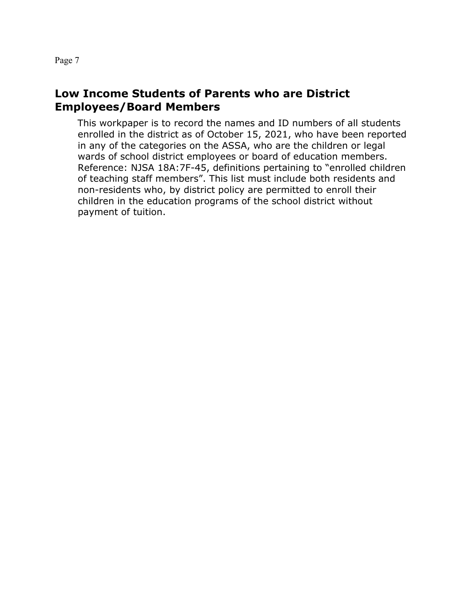### **Low Income Students of Parents who are District Employees/Board Members**

This workpaper is to record the names and ID numbers of all students enrolled in the district as of October 15, 2021, who have been reported in any of the categories on the ASSA, who are the children or legal wards of school district employees or board of education members. Reference: NJSA 18A:7F-45, definitions pertaining to "enrolled children of teaching staff members". This list must include both residents and non-residents who, by district policy are permitted to enroll their children in the education programs of the school district without payment of tuition.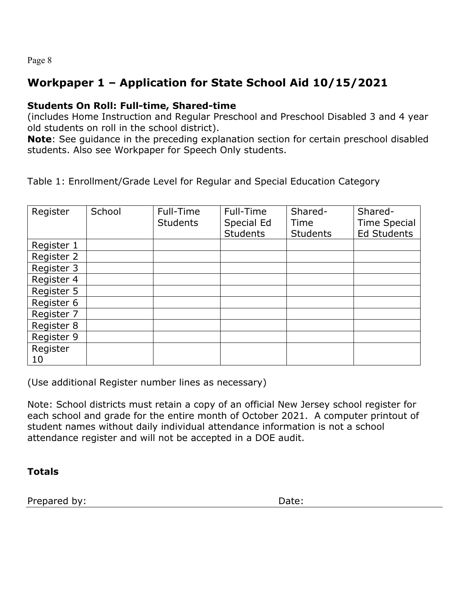# **Workpaper 1 – Application for State School Aid 10/15/2021**

#### **Students On Roll: Full-time, Shared-time**

(includes Home Instruction and Regular Preschool and Preschool Disabled 3 and 4 year old students on roll in the school district).

**Note**: See guidance in the preceding explanation section for certain preschool disabled students. Also see Workpaper for Speech Only students.

Table 1: Enrollment/Grade Level for Regular and Special Education Category

| Register   | School | Full-Time       | Full-Time       | Shared-         | Shared-             |
|------------|--------|-----------------|-----------------|-----------------|---------------------|
|            |        | <b>Students</b> | Special Ed      | Time            | <b>Time Special</b> |
|            |        |                 | <b>Students</b> | <b>Students</b> | <b>Ed Students</b>  |
| Register 1 |        |                 |                 |                 |                     |
| Register 2 |        |                 |                 |                 |                     |
| Register 3 |        |                 |                 |                 |                     |
| Register 4 |        |                 |                 |                 |                     |
| Register 5 |        |                 |                 |                 |                     |
| Register 6 |        |                 |                 |                 |                     |
| Register 7 |        |                 |                 |                 |                     |
| Register 8 |        |                 |                 |                 |                     |
| Register 9 |        |                 |                 |                 |                     |
| Register   |        |                 |                 |                 |                     |
| 10         |        |                 |                 |                 |                     |

(Use additional Register number lines as necessary)

Note: School districts must retain a copy of an official New Jersey school register for each school and grade for the entire month of October 2021. A computer printout of student names without daily individual attendance information is not a school attendance register and will not be accepted in a DOE audit.

**Totals**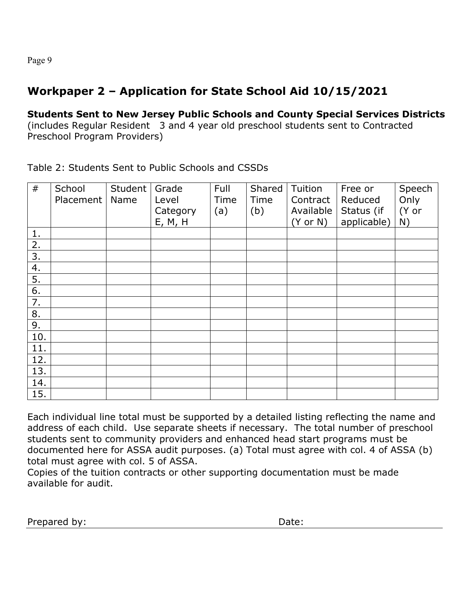# **Workpaper 2 – Application for State School Aid 10/15/2021**

**Students Sent to New Jersey Public Schools and County Special Services Districts** (includes Regular Resident 3 and 4 year old preschool students sent to Contracted Preschool Program Providers)

Table 2: Students Sent to Public Schools and CSSDs

| #   | School<br>Placement | Student<br>Name | Grade<br>Level<br>Category<br>E, M, H | Full<br>Time<br>(a) | Shared<br>Time<br>(b) | Tuition<br>Contract<br>Available<br>$(Y \text{ or } N)$ | Free or<br>Reduced<br>Status (if<br>applicable) | Speech<br>Only<br>(Y or<br>N) |
|-----|---------------------|-----------------|---------------------------------------|---------------------|-----------------------|---------------------------------------------------------|-------------------------------------------------|-------------------------------|
| 1.  |                     |                 |                                       |                     |                       |                                                         |                                                 |                               |
| 2.  |                     |                 |                                       |                     |                       |                                                         |                                                 |                               |
| 3.  |                     |                 |                                       |                     |                       |                                                         |                                                 |                               |
| 4.  |                     |                 |                                       |                     |                       |                                                         |                                                 |                               |
| 5.  |                     |                 |                                       |                     |                       |                                                         |                                                 |                               |
| 6.  |                     |                 |                                       |                     |                       |                                                         |                                                 |                               |
| 7.  |                     |                 |                                       |                     |                       |                                                         |                                                 |                               |
| 8.  |                     |                 |                                       |                     |                       |                                                         |                                                 |                               |
| 9.  |                     |                 |                                       |                     |                       |                                                         |                                                 |                               |
| 10. |                     |                 |                                       |                     |                       |                                                         |                                                 |                               |
| 11. |                     |                 |                                       |                     |                       |                                                         |                                                 |                               |
| 12. |                     |                 |                                       |                     |                       |                                                         |                                                 |                               |
| 13. |                     |                 |                                       |                     |                       |                                                         |                                                 |                               |
| 14. |                     |                 |                                       |                     |                       |                                                         |                                                 |                               |
| 15. |                     |                 |                                       |                     |                       |                                                         |                                                 |                               |

Each individual line total must be supported by a detailed listing reflecting the name and address of each child. Use separate sheets if necessary. The total number of preschool students sent to community providers and enhanced head start programs must be documented here for ASSA audit purposes. (a) Total must agree with col. 4 of ASSA (b) total must agree with col. 5 of ASSA.

Copies of the tuition contracts or other supporting documentation must be made available for audit.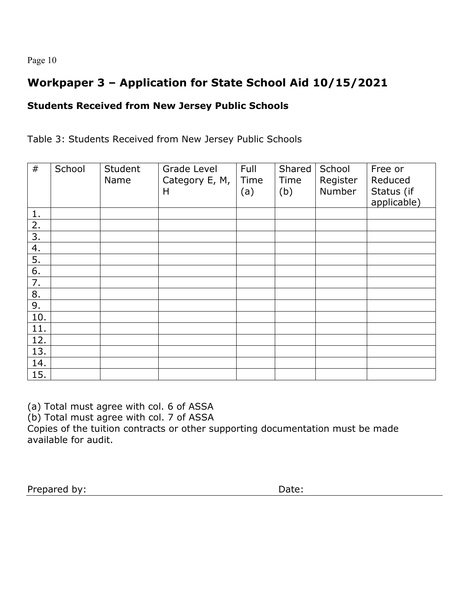# **Workpaper 3 – Application for State School Aid 10/15/2021**

### **Students Received from New Jersey Public Schools**

Table 3: Students Received from New Jersey Public Schools

| #   | School | Student<br>Name | Grade Level<br>Category E, M,<br>Н | Full<br>Time<br>(a) | Shared<br>Time<br>(b) | School<br>Register<br>Number | Free or<br>Reduced<br>Status (if<br>applicable) |
|-----|--------|-----------------|------------------------------------|---------------------|-----------------------|------------------------------|-------------------------------------------------|
| 1.  |        |                 |                                    |                     |                       |                              |                                                 |
| 2.  |        |                 |                                    |                     |                       |                              |                                                 |
| 3.  |        |                 |                                    |                     |                       |                              |                                                 |
| 4.  |        |                 |                                    |                     |                       |                              |                                                 |
| 5.  |        |                 |                                    |                     |                       |                              |                                                 |
| 6.  |        |                 |                                    |                     |                       |                              |                                                 |
| 7.  |        |                 |                                    |                     |                       |                              |                                                 |
| 8.  |        |                 |                                    |                     |                       |                              |                                                 |
| 9.  |        |                 |                                    |                     |                       |                              |                                                 |
| 10. |        |                 |                                    |                     |                       |                              |                                                 |
| 11. |        |                 |                                    |                     |                       |                              |                                                 |
| 12. |        |                 |                                    |                     |                       |                              |                                                 |
| 13. |        |                 |                                    |                     |                       |                              |                                                 |
| 14. |        |                 |                                    |                     |                       |                              |                                                 |
| 15. |        |                 |                                    |                     |                       |                              |                                                 |

(a) Total must agree with col. 6 of ASSA

(b) Total must agree with col. 7 of ASSA

Copies of the tuition contracts or other supporting documentation must be made available for audit.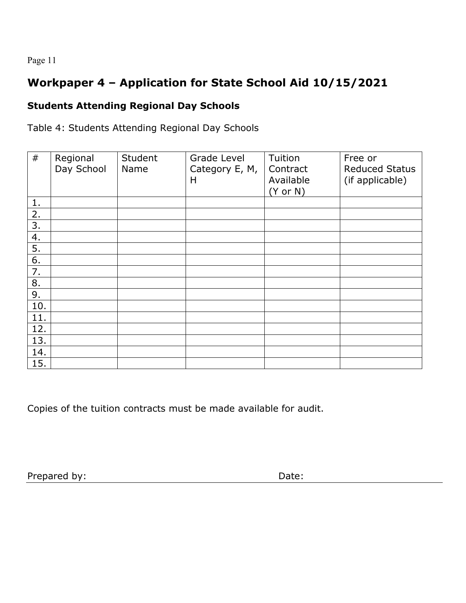# **Workpaper 4 – Application for State School Aid 10/15/2021**

## **Students Attending Regional Day Schools**

Table 4: Students Attending Regional Day Schools

| #   | Regional<br>Day School | Student<br>Name | Grade Level<br>Category E, M,<br>Н | Tuition<br>Contract<br>Available<br>$(Y \text{ or } N)$ | Free or<br><b>Reduced Status</b><br>(if applicable) |
|-----|------------------------|-----------------|------------------------------------|---------------------------------------------------------|-----------------------------------------------------|
| 1.  |                        |                 |                                    |                                                         |                                                     |
| 2.  |                        |                 |                                    |                                                         |                                                     |
| 3.  |                        |                 |                                    |                                                         |                                                     |
| 4.  |                        |                 |                                    |                                                         |                                                     |
| 5.  |                        |                 |                                    |                                                         |                                                     |
| 6.  |                        |                 |                                    |                                                         |                                                     |
| 7.  |                        |                 |                                    |                                                         |                                                     |
| 8.  |                        |                 |                                    |                                                         |                                                     |
| 9.  |                        |                 |                                    |                                                         |                                                     |
| 10. |                        |                 |                                    |                                                         |                                                     |
| 11. |                        |                 |                                    |                                                         |                                                     |
| 12. |                        |                 |                                    |                                                         |                                                     |
| 13. |                        |                 |                                    |                                                         |                                                     |
| 14. |                        |                 |                                    |                                                         |                                                     |
| 15. |                        |                 |                                    |                                                         |                                                     |

Copies of the tuition contracts must be made available for audit.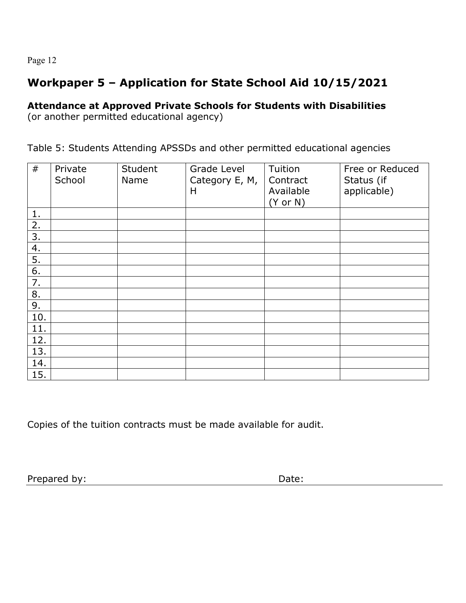# **Workpaper 5 – Application for State School Aid 10/15/2021**

### **Attendance at Approved Private Schools for Students with Disabilities**

(or another permitted educational agency)

Table 5: Students Attending APSSDs and other permitted educational agencies

| #   | Private<br>School | Student<br>Name | Grade Level<br>Category E, M,<br>H | Tuition<br>Contract<br>Available<br>$(Y \text{ or } N)$ | Free or Reduced<br>Status (if<br>applicable) |
|-----|-------------------|-----------------|------------------------------------|---------------------------------------------------------|----------------------------------------------|
| 1.  |                   |                 |                                    |                                                         |                                              |
| 2.  |                   |                 |                                    |                                                         |                                              |
| 3.  |                   |                 |                                    |                                                         |                                              |
| 4.  |                   |                 |                                    |                                                         |                                              |
| 5.  |                   |                 |                                    |                                                         |                                              |
| 6.  |                   |                 |                                    |                                                         |                                              |
| 7.  |                   |                 |                                    |                                                         |                                              |
| 8.  |                   |                 |                                    |                                                         |                                              |
| 9.  |                   |                 |                                    |                                                         |                                              |
| 10. |                   |                 |                                    |                                                         |                                              |
| 11. |                   |                 |                                    |                                                         |                                              |
| 12. |                   |                 |                                    |                                                         |                                              |
| 13. |                   |                 |                                    |                                                         |                                              |
| 14. |                   |                 |                                    |                                                         |                                              |
| 15. |                   |                 |                                    |                                                         |                                              |

Copies of the tuition contracts must be made available for audit.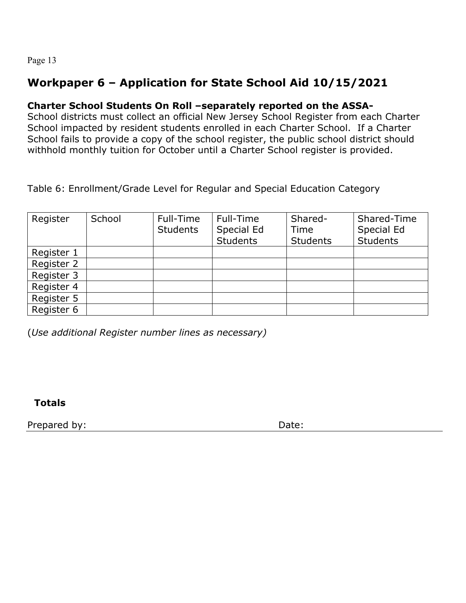# **Workpaper 6 – Application for State School Aid 10/15/2021**

### **Charter School Students On Roll –separately reported on the ASSA-**

School districts must collect an official New Jersey School Register from each Charter School impacted by resident students enrolled in each Charter School. If a Charter School fails to provide a copy of the school register, the public school district should withhold monthly tuition for October until a Charter School register is provided.

Table 6: Enrollment/Grade Level for Regular and Special Education Category

| Register   | School | Full-Time<br><b>Students</b> | Full-Time<br>Special Ed<br><b>Students</b> | Shared-<br>Time<br><b>Students</b> | Shared-Time<br>Special Ed<br><b>Students</b> |
|------------|--------|------------------------------|--------------------------------------------|------------------------------------|----------------------------------------------|
| Register 1 |        |                              |                                            |                                    |                                              |
| Register 2 |        |                              |                                            |                                    |                                              |
| Register 3 |        |                              |                                            |                                    |                                              |
| Register 4 |        |                              |                                            |                                    |                                              |
| Register 5 |        |                              |                                            |                                    |                                              |
| Register 6 |        |                              |                                            |                                    |                                              |

(*Use additional Register number lines as necessary)*

**Totals**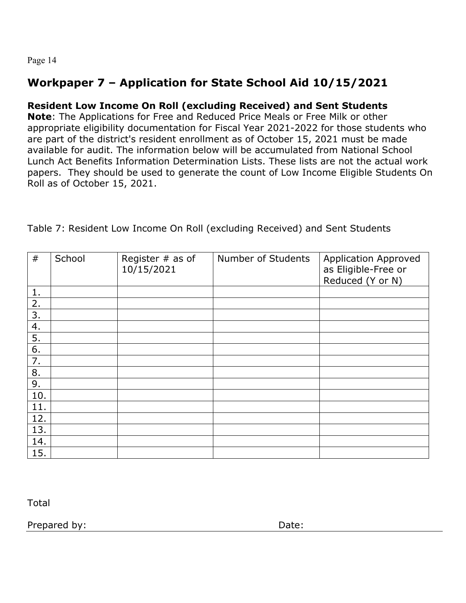# **Workpaper 7 – Application for State School Aid 10/15/2021**

### **Resident Low Income On Roll (excluding Received) and Sent Students**

**Note**: The Applications for Free and Reduced Price Meals or Free Milk or other appropriate eligibility documentation for Fiscal Year 2021-2022 for those students who are part of the district's resident enrollment as of October 15, 2021 must be made available for audit. The information below will be accumulated from National School Lunch Act Benefits Information Determination Lists. These lists are not the actual work papers. They should be used to generate the count of Low Income Eligible Students On Roll as of October 15, 2021.

| #   | School | Register $#$ as of<br>10/15/2021 | Number of Students | <b>Application Approved</b><br>as Eligible-Free or<br>Reduced (Y_or N) |
|-----|--------|----------------------------------|--------------------|------------------------------------------------------------------------|
| 1.  |        |                                  |                    |                                                                        |
| 2.  |        |                                  |                    |                                                                        |
| 3.  |        |                                  |                    |                                                                        |
| 4.  |        |                                  |                    |                                                                        |
| 5.  |        |                                  |                    |                                                                        |
| 6.  |        |                                  |                    |                                                                        |
| 7.  |        |                                  |                    |                                                                        |
| 8.  |        |                                  |                    |                                                                        |
| 9.  |        |                                  |                    |                                                                        |
| 10. |        |                                  |                    |                                                                        |
| 11. |        |                                  |                    |                                                                        |
| 12. |        |                                  |                    |                                                                        |
| 13. |        |                                  |                    |                                                                        |
| 14. |        |                                  |                    |                                                                        |
| 15. |        |                                  |                    |                                                                        |

Table 7: Resident Low Income On Roll (excluding Received) and Sent Students

Total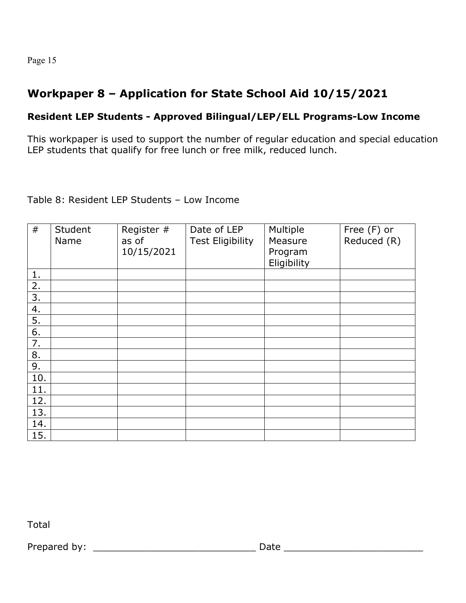# **Workpaper 8 – Application for State School Aid 10/15/2021**

### **Resident LEP Students - Approved Bilingual/LEP/ELL Programs-Low Income**

This workpaper is used to support the number of regular education and special education LEP students that qualify for free lunch or free milk, reduced lunch.

#### Table 8: Resident LEP Students – Low Income

| #   | Student<br>Name | Register #<br>as of<br>10/15/2021 | Date of LEP<br><b>Test Eligibility</b> | Multiple<br>Measure<br>Program<br>Eligibility | Free (F) or<br>Reduced (R) |
|-----|-----------------|-----------------------------------|----------------------------------------|-----------------------------------------------|----------------------------|
| 1.  |                 |                                   |                                        |                                               |                            |
| 2.  |                 |                                   |                                        |                                               |                            |
| 3.  |                 |                                   |                                        |                                               |                            |
| 4.  |                 |                                   |                                        |                                               |                            |
| 5.  |                 |                                   |                                        |                                               |                            |
| 6.  |                 |                                   |                                        |                                               |                            |
| 7.  |                 |                                   |                                        |                                               |                            |
| 8.  |                 |                                   |                                        |                                               |                            |
| 9.  |                 |                                   |                                        |                                               |                            |
| 10. |                 |                                   |                                        |                                               |                            |
| 11. |                 |                                   |                                        |                                               |                            |
| 12. |                 |                                   |                                        |                                               |                            |
| 13. |                 |                                   |                                        |                                               |                            |
| 14. |                 |                                   |                                        |                                               |                            |
| 15. |                 |                                   |                                        |                                               |                            |

Total

Prepared by: \_\_\_\_\_\_\_\_\_\_\_\_\_\_\_\_\_\_\_\_\_\_\_\_\_\_\_\_ Date \_\_\_\_\_\_\_\_\_\_\_\_\_\_\_\_\_\_\_\_\_\_\_\_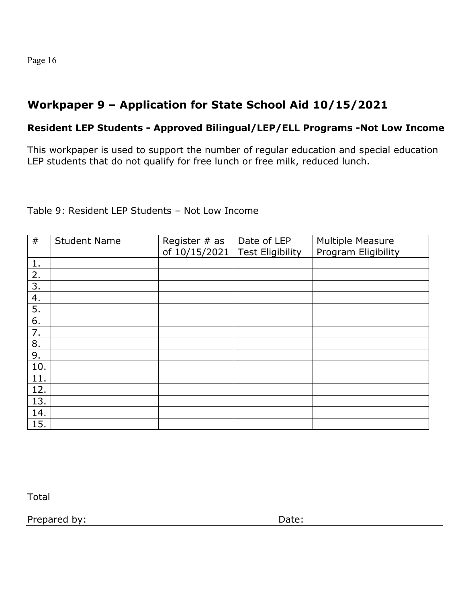# **Workpaper 9 – Application for State School Aid 10/15/2021**

#### **Resident LEP Students - Approved Bilingual/LEP/ELL Programs -Not Low Income**

This workpaper is used to support the number of regular education and special education LEP students that do not qualify for free lunch or free milk, reduced lunch.

Table 9: Resident LEP Students – Not Low Income

| #   | <b>Student Name</b> | Register $#$ as<br>of 10/15/2021 | Date of LEP<br><b>Test Eligibility</b> | <b>Multiple Measure</b><br>Program Eligibility |
|-----|---------------------|----------------------------------|----------------------------------------|------------------------------------------------|
| 1.  |                     |                                  |                                        |                                                |
| 2.  |                     |                                  |                                        |                                                |
| 3.  |                     |                                  |                                        |                                                |
| 4.  |                     |                                  |                                        |                                                |
| 5.  |                     |                                  |                                        |                                                |
| 6.  |                     |                                  |                                        |                                                |
| 7.  |                     |                                  |                                        |                                                |
| 8.  |                     |                                  |                                        |                                                |
| 9.  |                     |                                  |                                        |                                                |
| 10. |                     |                                  |                                        |                                                |
| 11. |                     |                                  |                                        |                                                |
| 12. |                     |                                  |                                        |                                                |
| 13. |                     |                                  |                                        |                                                |
| 14. |                     |                                  |                                        |                                                |
| 15. |                     |                                  |                                        |                                                |

Total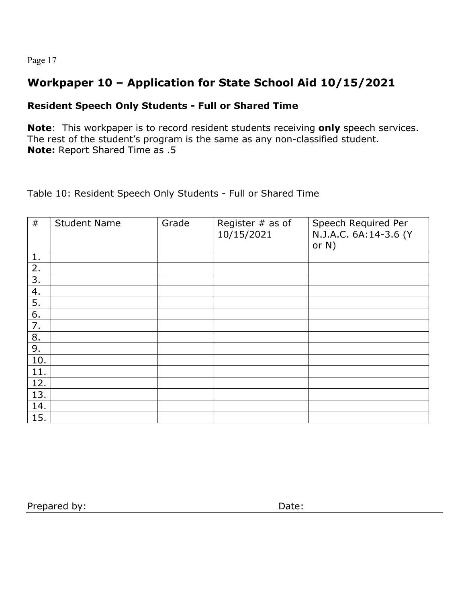# **Workpaper 10 – Application for State School Aid 10/15/2021**

### **Resident Speech Only Students - Full or Shared Time**

**Note**: This workpaper is to record resident students receiving **only** speech services. The rest of the student's program is the same as any non-classified student. **Note:** Report Shared Time as .5

Table 10: Resident Speech Only Students - Full or Shared Time

| #   | <b>Student Name</b> | Grade | Register $#$ as of<br>10/15/2021 | Speech Required Per<br>N.J.A.C. 6A:14-3.6 (Y<br>or $N$ ) |
|-----|---------------------|-------|----------------------------------|----------------------------------------------------------|
| 1.  |                     |       |                                  |                                                          |
| 2.  |                     |       |                                  |                                                          |
| 3.  |                     |       |                                  |                                                          |
| 4.  |                     |       |                                  |                                                          |
| 5.  |                     |       |                                  |                                                          |
| 6.  |                     |       |                                  |                                                          |
| 7.  |                     |       |                                  |                                                          |
| 8.  |                     |       |                                  |                                                          |
| 9.  |                     |       |                                  |                                                          |
| 10. |                     |       |                                  |                                                          |
| 11. |                     |       |                                  |                                                          |
| 12. |                     |       |                                  |                                                          |
| 13. |                     |       |                                  |                                                          |
| 14. |                     |       |                                  |                                                          |
| 15. |                     |       |                                  |                                                          |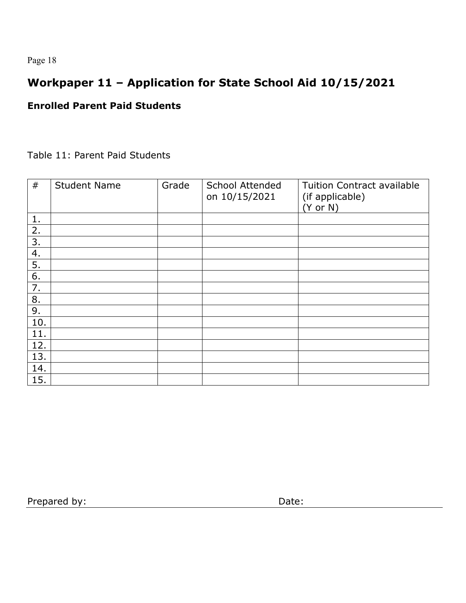# **Workpaper 11 – Application for State School Aid 10/15/2021**

#### **Enrolled Parent Paid Students**

#### Table 11: Parent Paid Students

| #   | <b>Student Name</b> | Grade | <b>School Attended</b><br>on 10/15/2021 | <b>Tuition Contract available</b><br>(if applicable)<br>$(Y \text{ or } N)$ |
|-----|---------------------|-------|-----------------------------------------|-----------------------------------------------------------------------------|
| 1.  |                     |       |                                         |                                                                             |
| 2.  |                     |       |                                         |                                                                             |
| 3.  |                     |       |                                         |                                                                             |
| 4.  |                     |       |                                         |                                                                             |
| 5.  |                     |       |                                         |                                                                             |
| 6.  |                     |       |                                         |                                                                             |
| 7.  |                     |       |                                         |                                                                             |
| 8.  |                     |       |                                         |                                                                             |
| 9.  |                     |       |                                         |                                                                             |
| 10. |                     |       |                                         |                                                                             |
| 11. |                     |       |                                         |                                                                             |
| 12. |                     |       |                                         |                                                                             |
| 13. |                     |       |                                         |                                                                             |
| 14. |                     |       |                                         |                                                                             |
| 15. |                     |       |                                         |                                                                             |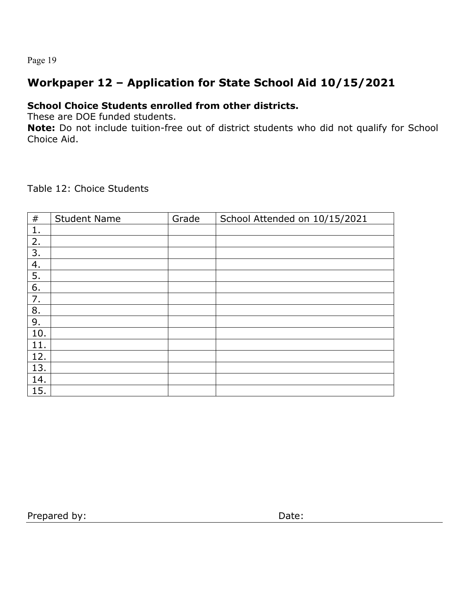# **Workpaper 12 – Application for State School Aid 10/15/2021**

### **School Choice Students enrolled from other districts.**

These are DOE funded students.

**Note:** Do not include tuition-free out of district students who did not qualify for School Choice Aid.

Table 12: Choice Students

| $\#$ | <b>Student Name</b> | Grade | School Attended on 10/15/2021 |
|------|---------------------|-------|-------------------------------|
| 1.   |                     |       |                               |
| 2.   |                     |       |                               |
| 3.   |                     |       |                               |
| 4.   |                     |       |                               |
| 5.   |                     |       |                               |
| 6.   |                     |       |                               |
| 7.   |                     |       |                               |
| 8.   |                     |       |                               |
| 9.   |                     |       |                               |
| 10.  |                     |       |                               |
| 11.  |                     |       |                               |
| 12.  |                     |       |                               |
| 13.  |                     |       |                               |
| 14.  |                     |       |                               |
| 15.  |                     |       |                               |